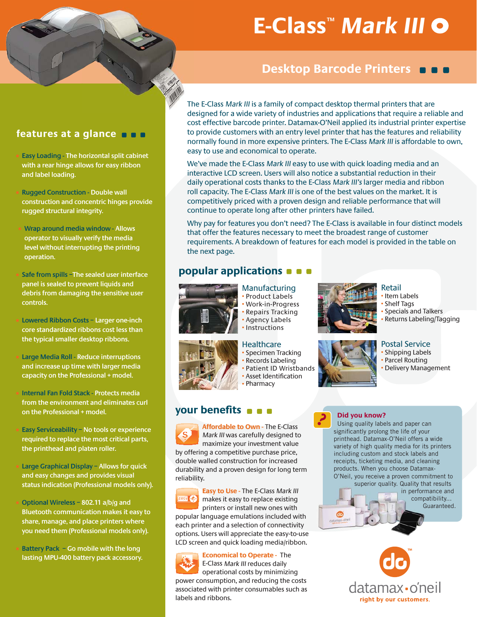# **E-Class™ Mark III**

# **Desktop Barcode Printers DDD**

## **features at a glance**

- **Easy Loading The horizontal split cabinet with a rear hinge allows for easy ribbon and label loading.**
- **Rugged Construction Double wall construction and concentric hinges provide rugged structural integrity.**
- **Wrap around media window Allows operator to visually verify the media level without interrupting the printing operation.**
- **Safe from spills –The sealed user interface panel is sealed to prevent liquids and debris from damaging the sensitive user controls.**
- **Lowered Ribbon Costs Larger one-inch core standardized ribbons cost less than the typical smaller desktop ribbons.**
- **Large Media Roll Reduce interruptions and increase up time with larger media capacity on the Professional + model.**
- **Internal Fan Fold Stack Protects media from the environment and eliminates curl on the Professional + model.**
- **Easy Serviceability No tools or experience required to replace the most critical parts, the printhead and platen roller.**
- **Large Graphical Display Allows for quick and easy changes and provides visual status indication (Professional models only).**
- **Optional Wireless 802.11 a/b/g and Bluetooth communication makes it easy to share, manage, and place printers where you need them (Professional models only).**
- **Battery Pack Go mobile with the long lasting MPU-400 battery pack accessory.**

The E-Class Mark III is a family of compact desktop thermal printers that are Th designed for a wide variety of industries and applications that require a reliable and decost effective barcode printer. Datamax-O'Neil applied its industrial printer expertise to provide customers with an entry level printer that has the features and reliability normally found in more expensive printers. The E-Class Mark III is affordable to own, easy to use and economical to operate.

We've made the E-Class Mark III easy to use with quick loading media and an interactive LCD screen. Users will also notice a substantial reduction in their daily operational costs thanks to the E-Class Mark III's larger media and ribbon roll capacity. The E-Class Mark III is one of the best values on the market. It is competitively priced with a proven design and reliable performance that will continue to operate long after other printers have failed.

Why pay for features you don't need? The E-Class is available in four distinct models that offer the features necessary to meet the broadest range of customer requirements. A breakdown of features for each model is provided in the table on the next page.

?

# **popular applications**



#### Manufacturing • Product Labels • Work-in-Progress • Repairs Tracking • Agency Labels • Instructions

### **Healthcare**

- Specimen Tracking
- 
- 

# **your benefits**

**Affordable to Own - The E-Class** Mark III was carefully designed to maximize your investment value by offering a competitive purchase price, double walled construction for increased durability and a proven design for long term reliability.

**Easy to Use -** The E-Class Mark III **ERSY @** makes it easy to replace existing printers or install new ones with popular language emulations included with each printer and a selection of connectivity options. Users will appreciate the easy-to-use LCD screen and quick loading media/ribbon.

**Economical to Operate -** The E-Class Mark III reduces daily operational costs by minimizing power consumption, and reducing the costs associated with printer consumables such as labels and ribbons.

# Retail • Item Labels

# **Shelf Tags**

- Specials and Talkers
- Returns Labeling/Tagging

# Postal Service

- Shipping Labels
- Parcel Routing
- Delivery Management

### **Did you know?**

Using quality labels and paper can significantly prolong the life of your printhead. Datamax-O'Neil offers a wide variety of high quality media for its printers including custom and stock labels and receipts, ticketing media, and cleaning products. When you choose Datamax-O'Neil, you receive a proven commitment to





• Records Labeling • Patient ID Wristbands • Asset Identification • Pharmacy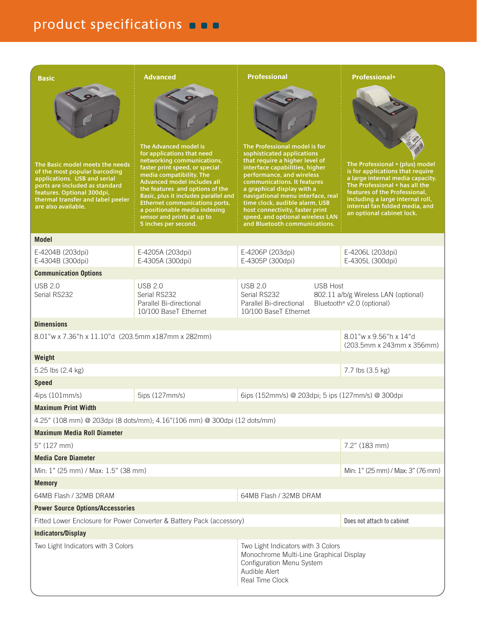# product specifications **one**

| <b>Basic</b>                                                                                                                                                                                                                 | <b>Advanced</b>                                                                                                                                                                                                                                                                                                                                                                                  | <b>Professional</b>                                                                                                                                                                                                                                                                                                                                                                                      | <b>Professional+</b>                                                                                                                                                                                                                                                          |  |  |  |
|------------------------------------------------------------------------------------------------------------------------------------------------------------------------------------------------------------------------------|--------------------------------------------------------------------------------------------------------------------------------------------------------------------------------------------------------------------------------------------------------------------------------------------------------------------------------------------------------------------------------------------------|----------------------------------------------------------------------------------------------------------------------------------------------------------------------------------------------------------------------------------------------------------------------------------------------------------------------------------------------------------------------------------------------------------|-------------------------------------------------------------------------------------------------------------------------------------------------------------------------------------------------------------------------------------------------------------------------------|--|--|--|
| The Basic model meets the needs<br>of the most popular barcoding<br>applications. USB and serial<br>ports are included as standard<br>features. Optional 300dpi,<br>thermal transfer and label peeler<br>are also available. | The Advanced model is<br>for applications that need<br>networking communications,<br>faster print speed, or special<br>media compatibility. The<br><b>Advanced model includes all</b><br>the features and options of the<br>Basic, plus it includes parallel and<br><b>Ethernet communications ports,</b><br>a positionable media indexing<br>sensor and prints at up to<br>5 inches per second. | The Professional model is for<br>sophisticated applications<br>that require a higher level of<br>interface capabilities, higher<br>performance, and wireless<br>communications. It features<br>a graphical display with a<br>navigational menu interface, real<br>time clock, audible alarm, USB<br>host connectivity, faster print<br>speed, and optional wireless LAN<br>and Bluetooth communications. | The Professional + (plus) model<br>is for applications that require<br>a large internal media capacity.<br>The Professional + has all the<br>features of the Professional,<br>including a large internal roll,<br>internal fan folded media, and<br>an optional cabinet lock. |  |  |  |
| <b>Model</b>                                                                                                                                                                                                                 |                                                                                                                                                                                                                                                                                                                                                                                                  |                                                                                                                                                                                                                                                                                                                                                                                                          |                                                                                                                                                                                                                                                                               |  |  |  |
| E-4204B (203dpi)<br>E-4304B (300dpi)                                                                                                                                                                                         | E-4205A (203dpi)<br>E-4305A (300dpi)                                                                                                                                                                                                                                                                                                                                                             | E-4206P (203dpi)<br>E-4305P (300dpi)                                                                                                                                                                                                                                                                                                                                                                     | E-4206L (203dpi)<br>E-4305L (300dpi)                                                                                                                                                                                                                                          |  |  |  |
| <b>Communication Options</b>                                                                                                                                                                                                 |                                                                                                                                                                                                                                                                                                                                                                                                  |                                                                                                                                                                                                                                                                                                                                                                                                          |                                                                                                                                                                                                                                                                               |  |  |  |
| <b>USB 2.0</b><br>Serial RS232                                                                                                                                                                                               | <b>USB 2.0</b><br>Serial RS232<br>Parallel Bi-directional<br>10/100 BaseT Ethernet                                                                                                                                                                                                                                                                                                               | <b>USB 2.0</b><br><b>USB Host</b><br>Serial RS232<br>Parallel Bi-directional<br>10/100 BaseT Ethernet                                                                                                                                                                                                                                                                                                    | 802.11 a/b/g Wireless LAN (optional)<br>Bluetooth <sup>®</sup> v2.0 (optional)                                                                                                                                                                                                |  |  |  |
| <b>Dimensions</b>                                                                                                                                                                                                            |                                                                                                                                                                                                                                                                                                                                                                                                  |                                                                                                                                                                                                                                                                                                                                                                                                          |                                                                                                                                                                                                                                                                               |  |  |  |
| 8.01"w x 7.36"h x 11.10"d (203.5mm x187mm x 282mm)                                                                                                                                                                           |                                                                                                                                                                                                                                                                                                                                                                                                  |                                                                                                                                                                                                                                                                                                                                                                                                          | 8.01"w x 9.56"h x 14"d<br>(203.5mm x 243mm x 356mm)                                                                                                                                                                                                                           |  |  |  |
| Weight                                                                                                                                                                                                                       |                                                                                                                                                                                                                                                                                                                                                                                                  |                                                                                                                                                                                                                                                                                                                                                                                                          |                                                                                                                                                                                                                                                                               |  |  |  |
| 5.25 lbs (2.4 kg)                                                                                                                                                                                                            |                                                                                                                                                                                                                                                                                                                                                                                                  |                                                                                                                                                                                                                                                                                                                                                                                                          | 7.7 lbs (3.5 kg)                                                                                                                                                                                                                                                              |  |  |  |
| <b>Speed</b>                                                                                                                                                                                                                 |                                                                                                                                                                                                                                                                                                                                                                                                  |                                                                                                                                                                                                                                                                                                                                                                                                          |                                                                                                                                                                                                                                                                               |  |  |  |
| 4ips (101mm/s)                                                                                                                                                                                                               | 5ips (127mm/s)                                                                                                                                                                                                                                                                                                                                                                                   | 6ips (152mm/s) @ 203dpi; 5 ips (127mm/s) @ 300dpi                                                                                                                                                                                                                                                                                                                                                        |                                                                                                                                                                                                                                                                               |  |  |  |
|                                                                                                                                                                                                                              | <b>Maximum Print Width</b>                                                                                                                                                                                                                                                                                                                                                                       |                                                                                                                                                                                                                                                                                                                                                                                                          |                                                                                                                                                                                                                                                                               |  |  |  |
|                                                                                                                                                                                                                              | 4.25" (108 mm) @ 203dpi (8 dots/mm); 4.16" (106 mm) @ 300dpi (12 dots/mm)                                                                                                                                                                                                                                                                                                                        |                                                                                                                                                                                                                                                                                                                                                                                                          |                                                                                                                                                                                                                                                                               |  |  |  |
| <b>Maximum Media Roll Diameter</b>                                                                                                                                                                                           |                                                                                                                                                                                                                                                                                                                                                                                                  |                                                                                                                                                                                                                                                                                                                                                                                                          |                                                                                                                                                                                                                                                                               |  |  |  |
| 5" (127 mm)                                                                                                                                                                                                                  |                                                                                                                                                                                                                                                                                                                                                                                                  |                                                                                                                                                                                                                                                                                                                                                                                                          | 7.2" (183 mm)                                                                                                                                                                                                                                                                 |  |  |  |
| <b>Media Core Diameter</b>                                                                                                                                                                                                   |                                                                                                                                                                                                                                                                                                                                                                                                  |                                                                                                                                                                                                                                                                                                                                                                                                          |                                                                                                                                                                                                                                                                               |  |  |  |
| Min: 1" (25 mm) / Max: 1.5" (38 mm)<br>Min: 1" (25 mm) / Max: 3" (76 mm)                                                                                                                                                     |                                                                                                                                                                                                                                                                                                                                                                                                  |                                                                                                                                                                                                                                                                                                                                                                                                          |                                                                                                                                                                                                                                                                               |  |  |  |
| <b>Memory</b><br>64MB Flash / 32MB DRAM<br>64MB Flash / 32MB DRAM                                                                                                                                                            |                                                                                                                                                                                                                                                                                                                                                                                                  |                                                                                                                                                                                                                                                                                                                                                                                                          |                                                                                                                                                                                                                                                                               |  |  |  |
| <b>Power Source Options/Accessories</b>                                                                                                                                                                                      |                                                                                                                                                                                                                                                                                                                                                                                                  |                                                                                                                                                                                                                                                                                                                                                                                                          |                                                                                                                                                                                                                                                                               |  |  |  |
| Fitted Lower Enclosure for Power Converter & Battery Pack (accessory)                                                                                                                                                        |                                                                                                                                                                                                                                                                                                                                                                                                  |                                                                                                                                                                                                                                                                                                                                                                                                          | Does not attach to cabinet                                                                                                                                                                                                                                                    |  |  |  |
| <b>Indicators/Display</b>                                                                                                                                                                                                    |                                                                                                                                                                                                                                                                                                                                                                                                  |                                                                                                                                                                                                                                                                                                                                                                                                          |                                                                                                                                                                                                                                                                               |  |  |  |
| Two Light Indicators with 3 Colors                                                                                                                                                                                           |                                                                                                                                                                                                                                                                                                                                                                                                  | Two Light Indicators with 3 Colors<br>Monochrome Multi-Line Graphical Display<br>Configuration Menu System<br>Audible Alert<br>Real Time Clock                                                                                                                                                                                                                                                           |                                                                                                                                                                                                                                                                               |  |  |  |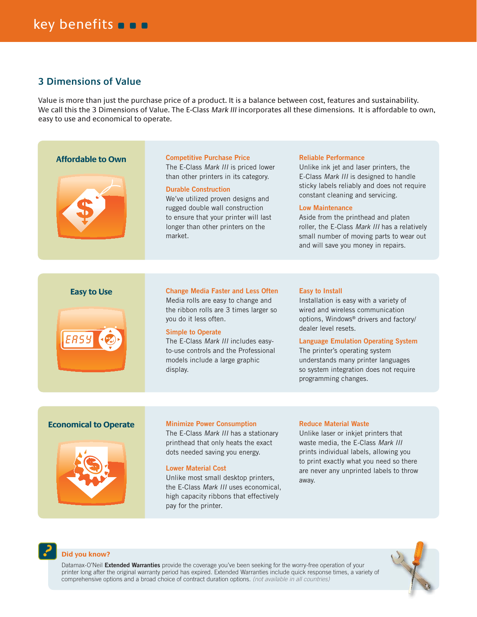# **3 Dimensions of Value**

Value is more than just the purchase price of a product. It is a balance between cost, features and sustainability. We call this the 3 Dimensions of Value. The E-Class Mark III incorporates all these dimensions. It is affordable to own, easy to use and economical to operate.

#### **Affordable to Own**



#### **Competitive Purchase Price**

The E-Class Mark III is priced lower than other printers in its category.

#### **Durable Construction**

We've utilized proven designs and rugged double wall construction to ensure that your printer will last longer than other printers on the market.

#### **Reliable Performance**

Unlike ink jet and laser printers, the E-Class Mark III is designed to handle sticky labels reliably and does not require constant cleaning and servicing.

#### **Low Maintenance**

Aside from the printhead and platen roller, the E-Class Mark III has a relatively small number of moving parts to wear out and will save you money in repairs.

#### **Easy to Use**



#### **Change Media Faster and Less Often**

Media rolls are easy to change and the ribbon rolls are 3 times larger so you do it less often.

#### **Simple to Operate**

The E-Class Mark III includes easyto-use controls and the Professional models include a large graphic display.

#### **Easy to Install**

Installation is easy with a variety of wired and wireless communication options, Windows® drivers and factory/ dealer level resets.

#### **Language Emulation Operating System**

The printer's operating system understands many printer languages so system integration does not require programming changes.

#### **Economical to Operate**



#### **Minimize Power Consumption**

The E-Class Mark III has a stationary printhead that only heats the exact dots needed saving you energy.

#### **Lower Material Cost**

Unlike most small desktop printers, the E-Class Mark III uses economical, high capacity ribbons that effectively pay for the printer.

#### **Reduce Material Waste**

Unlike laser or inkjet printers that waste media, the E-Class Mark III prints individual labels, allowing you to print exactly what you need so there are never any unprinted labels to throw away.



#### **Did you know?**

Datamax-O'Neil **Extended Warranties** provide the coverage you've been seeking for the worry-free operation of your printer long after the original warranty period has expired. Extended Warranties include quick response times, a variety of comprehensive options and a broad choice of contract duration options. (not available in all countries)